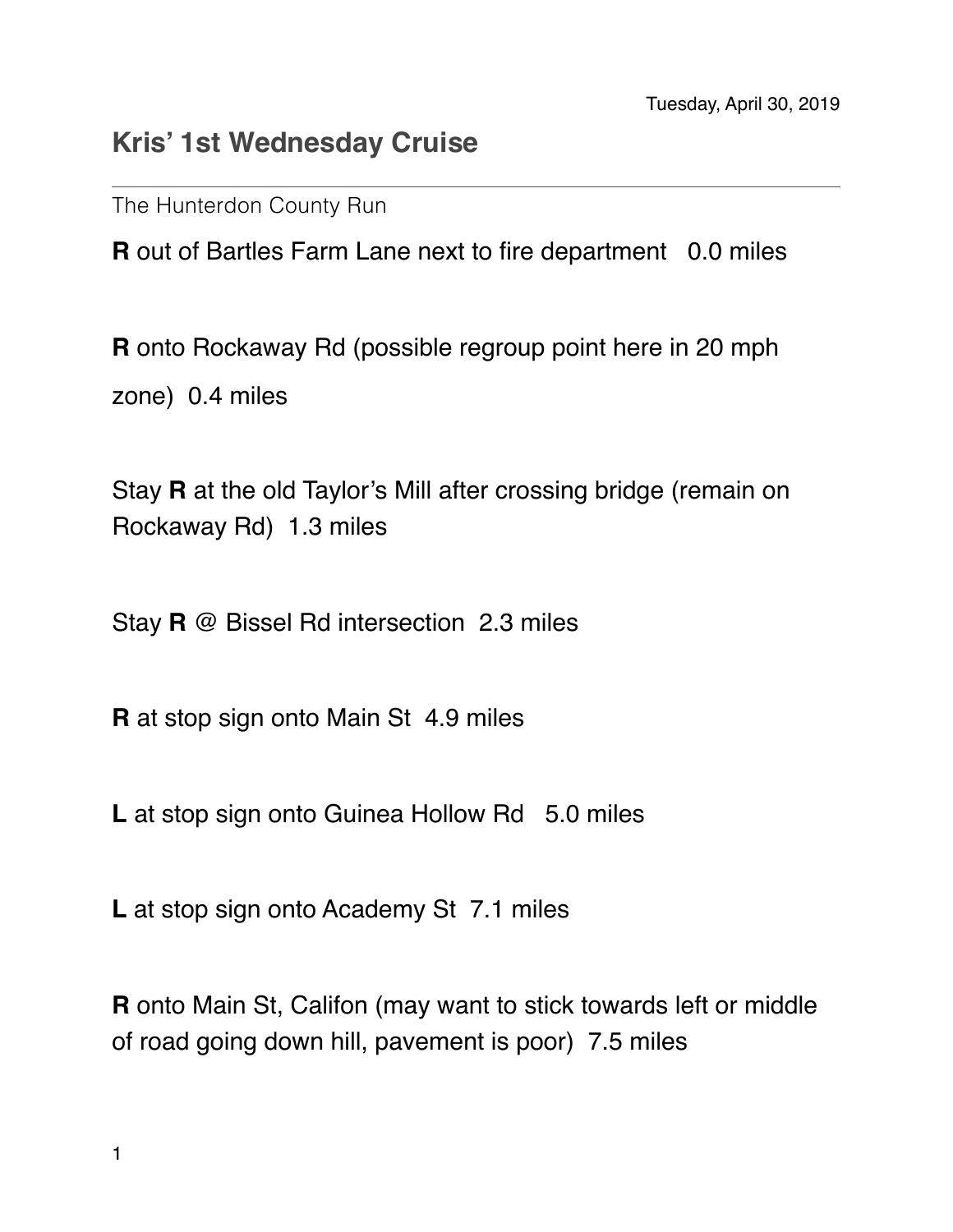## **Kris' 1st Wednesday Cruise**

The Hunterdon County Run

**R** out of Bartles Farm Lane next to fire department 0.0 miles

**R** onto Rockaway Rd (possible regroup point here in 20 mph zone) 0.4 miles

Stay **R** at the old Taylor's Mill after crossing bridge (remain on Rockaway Rd) 1.3 miles

Stay **R** @ Bissel Rd intersection 2.3 miles

**R** at stop sign onto Main St 4.9 miles

**L** at stop sign onto Guinea Hollow Rd 5.0 miles

L at stop sign onto Academy St 7.1 miles

**R** onto Main St, Califon (may want to stick towards left or middle of road going down hill, pavement is poor) 7.5 miles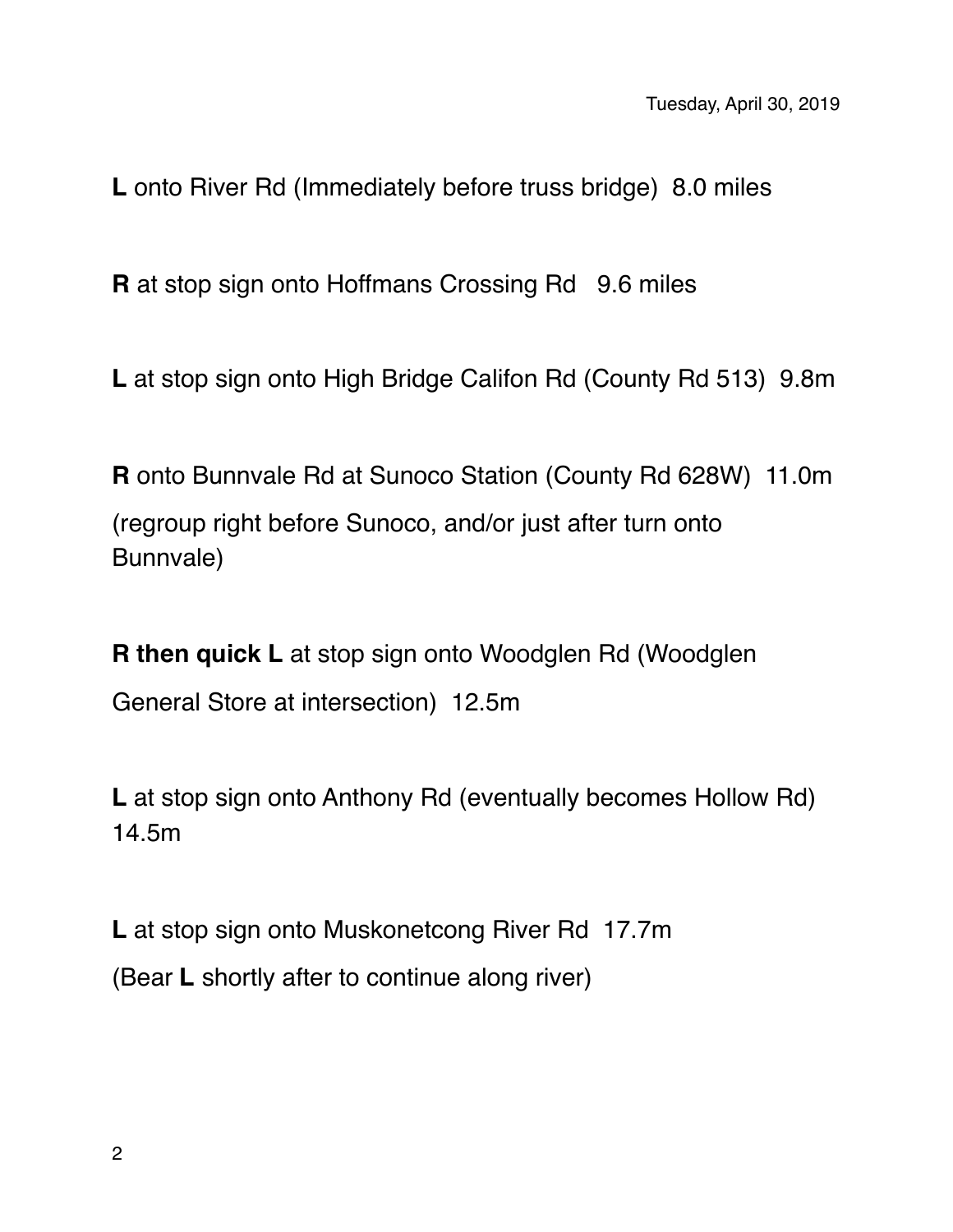**L** onto River Rd (Immediately before truss bridge) 8.0 miles

**R** at stop sign onto Hoffmans Crossing Rd 9.6 miles

**L** at stop sign onto High Bridge Califon Rd (County Rd 513) 9.8m

**R** onto Bunnvale Rd at Sunoco Station (County Rd 628W) 11.0m (regroup right before Sunoco, and/or just after turn onto Bunnvale)

**R then quick L** at stop sign onto Woodglen Rd (Woodglen General Store at intersection) 12.5m

L at stop sign onto Anthony Rd (eventually becomes Hollow Rd) 14.5m

**L** at stop sign onto Muskonetcong River Rd 17.7m (Bear **L** shortly after to continue along river)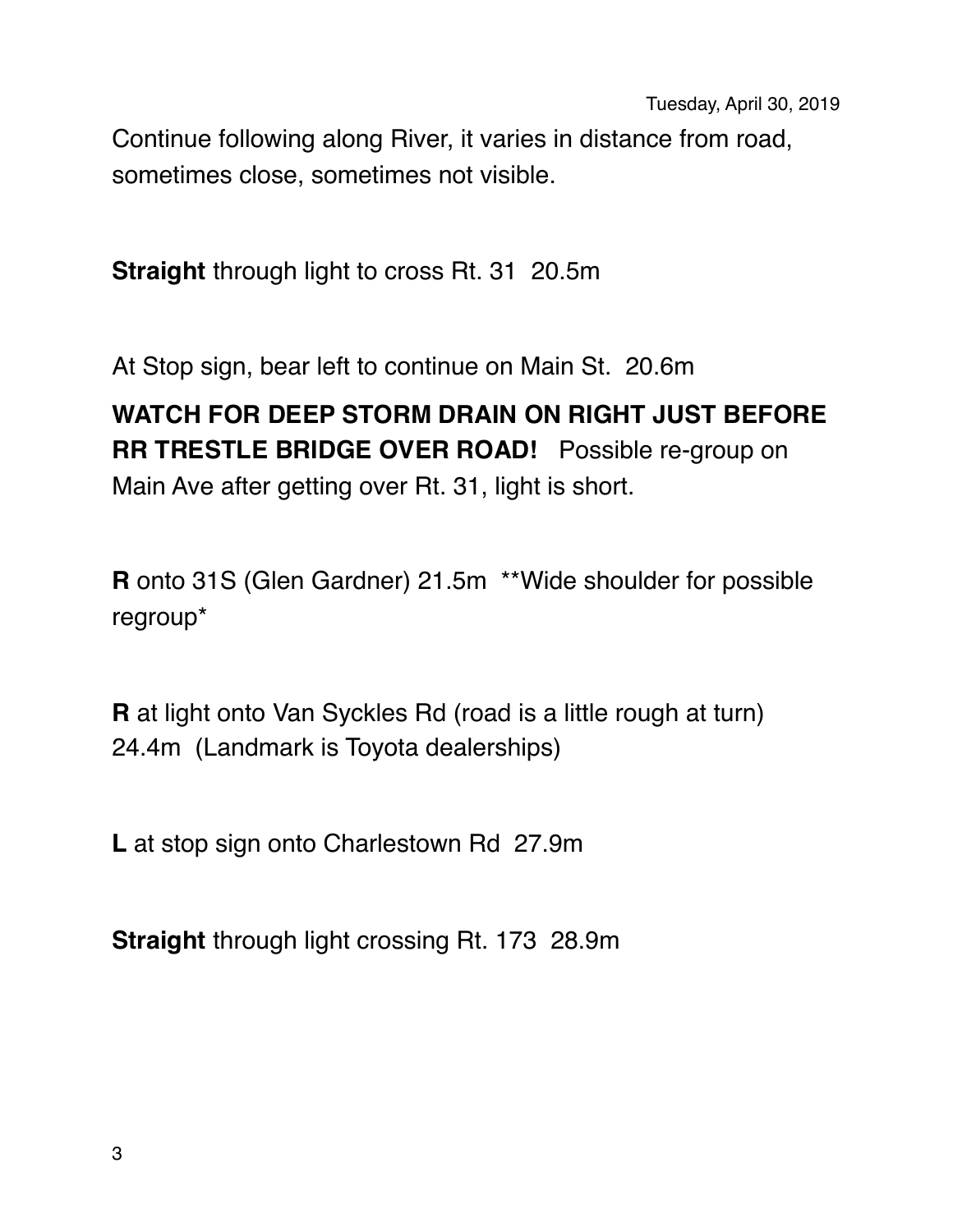Continue following along River, it varies in distance from road, sometimes close, sometimes not visible.

**Straight** through light to cross Rt. 31 20.5m

At Stop sign, bear left to continue on Main St. 20.6m

## **WATCH FOR DEEP STORM DRAIN ON RIGHT JUST BEFORE RR TRESTLE BRIDGE OVER ROAD!** Possible re-group on Main Ave after getting over Rt. 31, light is short.

**R** onto 31S (Glen Gardner) 21.5m \*\*Wide shoulder for possible regroup\*

**R** at light onto Van Syckles Rd (road is a little rough at turn) 24.4m (Landmark is Toyota dealerships)

**L** at stop sign onto Charlestown Rd 27.9m

**Straight** through light crossing Rt. 173 28.9m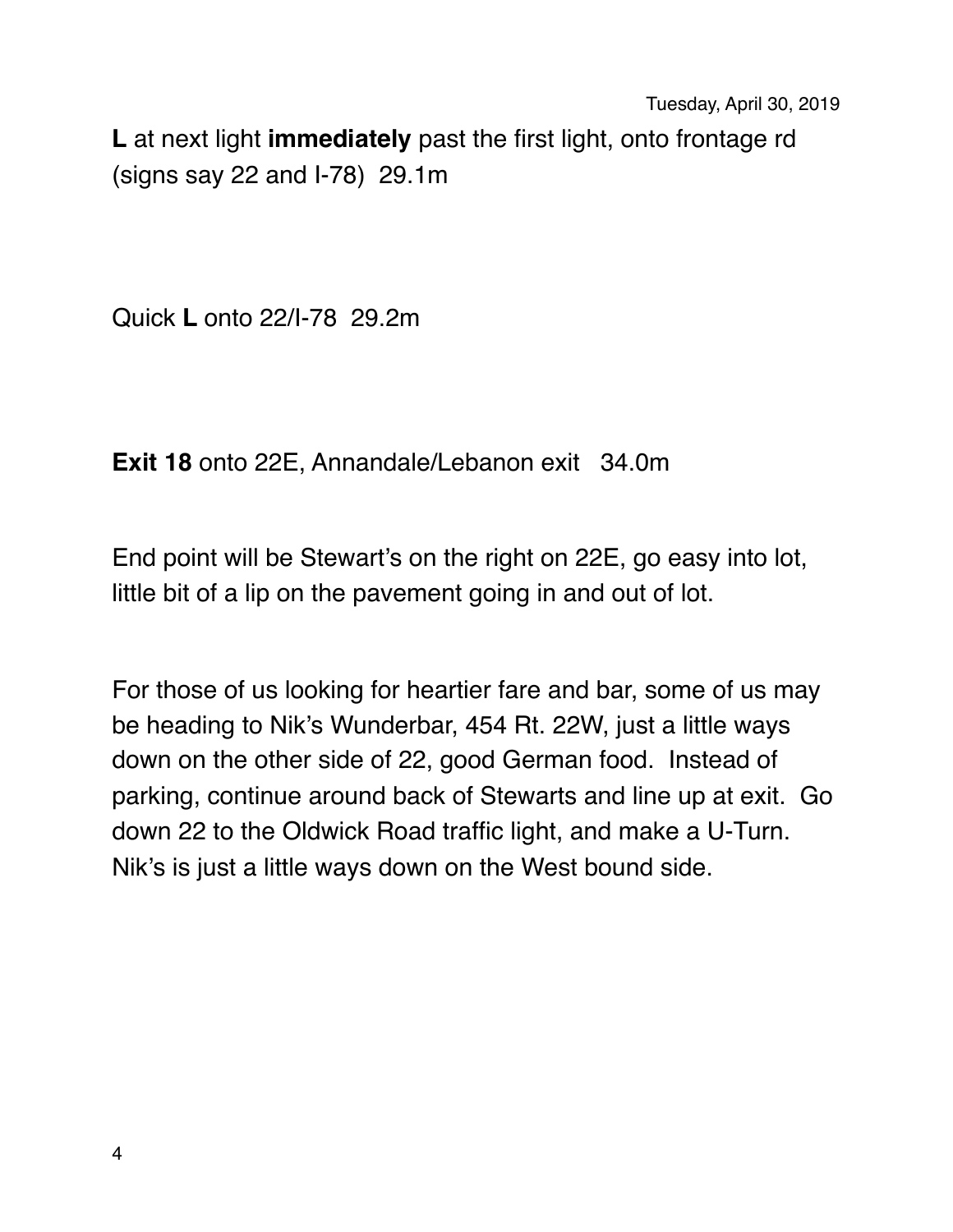**L** at next light **immediately** past the first light, onto frontage rd (signs say 22 and I-78) 29.1m

Quick **L** onto 22/I-78 29.2m

**Exit 18** onto 22E, Annandale/Lebanon exit 34.0m

End point will be Stewart's on the right on 22E, go easy into lot, little bit of a lip on the pavement going in and out of lot.

For those of us looking for heartier fare and bar, some of us may be heading to Nik's Wunderbar, 454 Rt. 22W, just a little ways down on the other side of 22, good German food. Instead of parking, continue around back of Stewarts and line up at exit. Go down 22 to the Oldwick Road traffic light, and make a U-Turn. Nik's is just a little ways down on the West bound side.